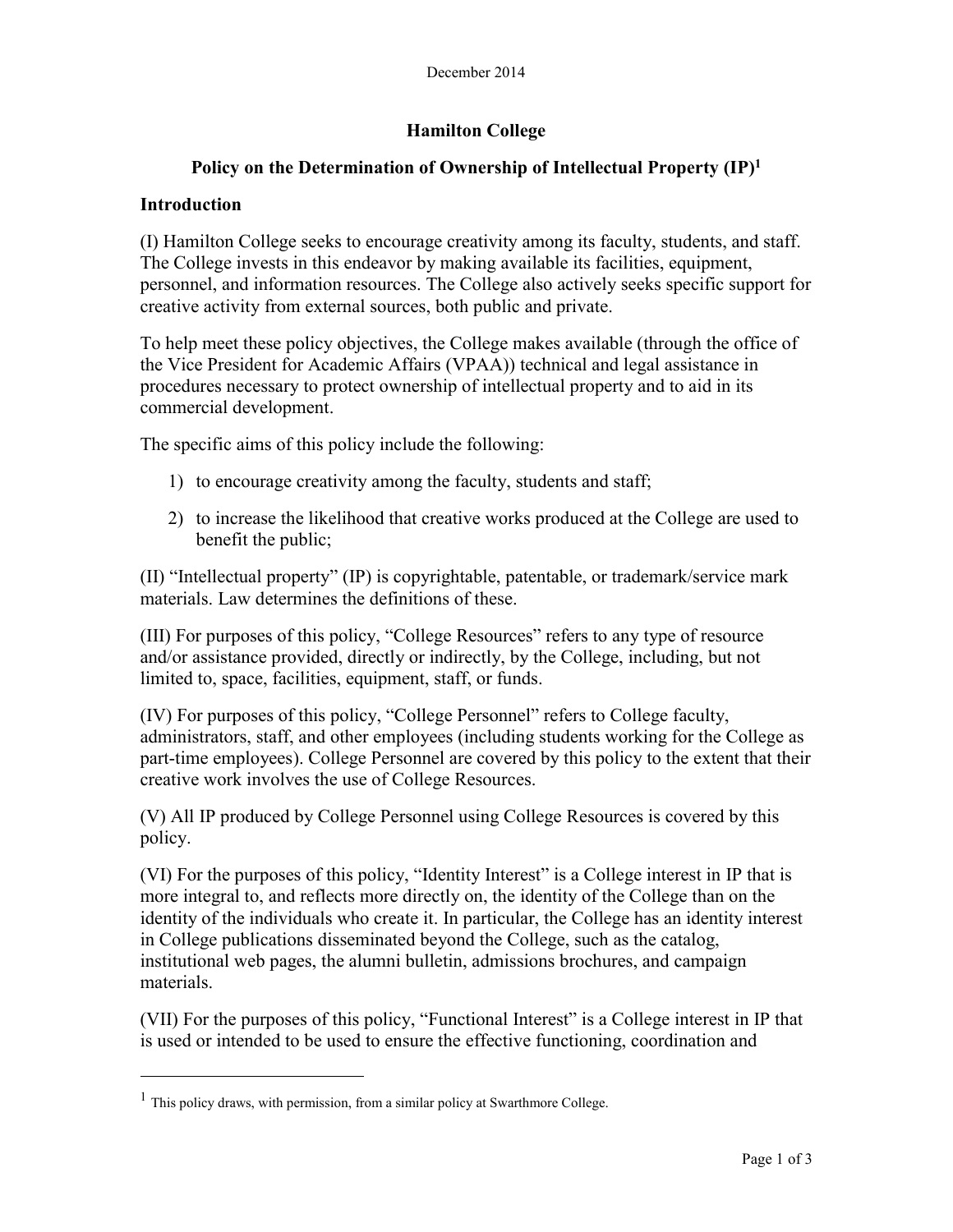# **Hamilton College**

## **Policy on the Determination of Ownership of Intellectual Property (IP)<sup>1</sup>**

#### **Introduction**

(I) Hamilton College seeks to encourage creativity among its faculty, students, and staff. The College invests in this endeavor by making available its facilities, equipment, personnel, and information resources. The College also actively seeks specific support for creative activity from external sources, both public and private.

To help meet these policy objectives, the College makes available (through the office of the Vice President for Academic Affairs (VPAA)) technical and legal assistance in procedures necessary to protect ownership of intellectual property and to aid in its commercial development.

The specific aims of this policy include the following:

- 1) to encourage creativity among the faculty, students and staff;
- 2) to increase the likelihood that creative works produced at the College are used to benefit the public;

(II) "Intellectual property" (IP) is copyrightable, patentable, or trademark/service mark materials. Law determines the definitions of these.

(III) For purposes of this policy, "College Resources" refers to any type of resource and/or assistance provided, directly or indirectly, by the College, including, but not limited to, space, facilities, equipment, staff, or funds.

(IV) For purposes of this policy, "College Personnel" refers to College faculty, administrators, staff, and other employees (including students working for the College as part-time employees). College Personnel are covered by this policy to the extent that their creative work involves the use of College Resources.

(V) All IP produced by College Personnel using College Resources is covered by this policy.

(VI) For the purposes of this policy, "Identity Interest" is a College interest in IP that is more integral to, and reflects more directly on, the identity of the College than on the identity of the individuals who create it. In particular, the College has an identity interest in College publications disseminated beyond the College, such as the catalog, institutional web pages, the alumni bulletin, admissions brochures, and campaign materials.

(VII) For the purposes of this policy, "Functional Interest" is a College interest in IP that is used or intended to be used to ensure the effective functioning, coordination and

<sup>&</sup>lt;sup>1</sup> This policy draws, with permission, from a similar policy at Swarthmore College.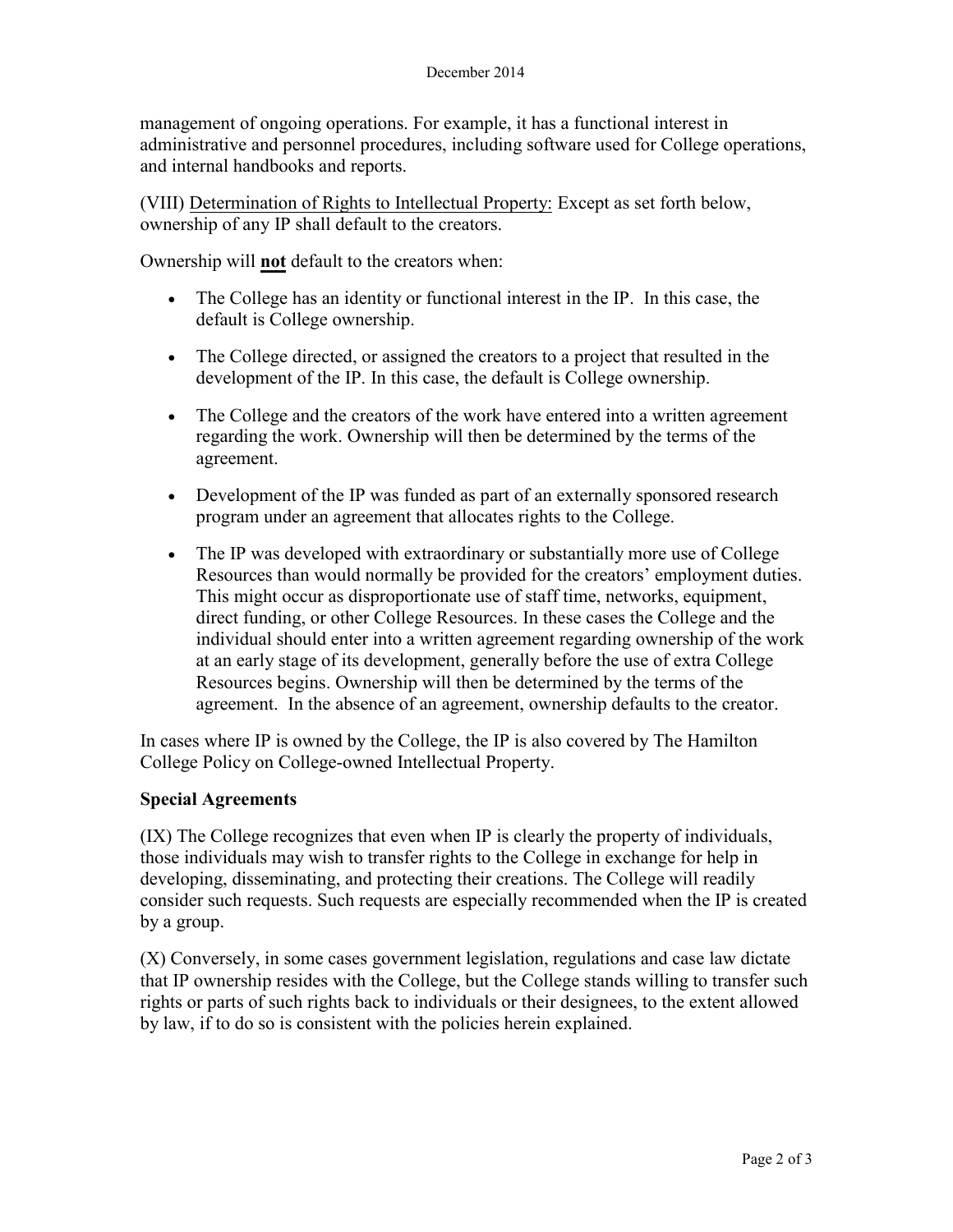management of ongoing operations. For example, it has a functional interest in administrative and personnel procedures, including software used for College operations, and internal handbooks and reports.

(VIII) Determination of Rights to Intellectual Property: Except as set forth below, ownership of any IP shall default to the creators.

Ownership will **not** default to the creators when:

- The College has an identity or functional interest in the IP. In this case, the default is College ownership.
- The College directed, or assigned the creators to a project that resulted in the development of the IP. In this case, the default is College ownership.
- The College and the creators of the work have entered into a written agreement regarding the work. Ownership will then be determined by the terms of the agreement.
- Development of the IP was funded as part of an externally sponsored research program under an agreement that allocates rights to the College.
- The IP was developed with extraordinary or substantially more use of College Resources than would normally be provided for the creators' employment duties. This might occur as disproportionate use of staff time, networks, equipment, direct funding, or other College Resources. In these cases the College and the individual should enter into a written agreement regarding ownership of the work at an early stage of its development, generally before the use of extra College Resources begins. Ownership will then be determined by the terms of the agreement. In the absence of an agreement, ownership defaults to the creator.

In cases where IP is owned by the College, the IP is also covered by The Hamilton College Policy on College-owned Intellectual Property.

## **Special Agreements**

(IX) The College recognizes that even when IP is clearly the property of individuals, those individuals may wish to transfer rights to the College in exchange for help in developing, disseminating, and protecting their creations. The College will readily consider such requests. Such requests are especially recommended when the IP is created by a group.

(X) Conversely, in some cases government legislation, regulations and case law dictate that IP ownership resides with the College, but the College stands willing to transfer such rights or parts of such rights back to individuals or their designees, to the extent allowed by law, if to do so is consistent with the policies herein explained.